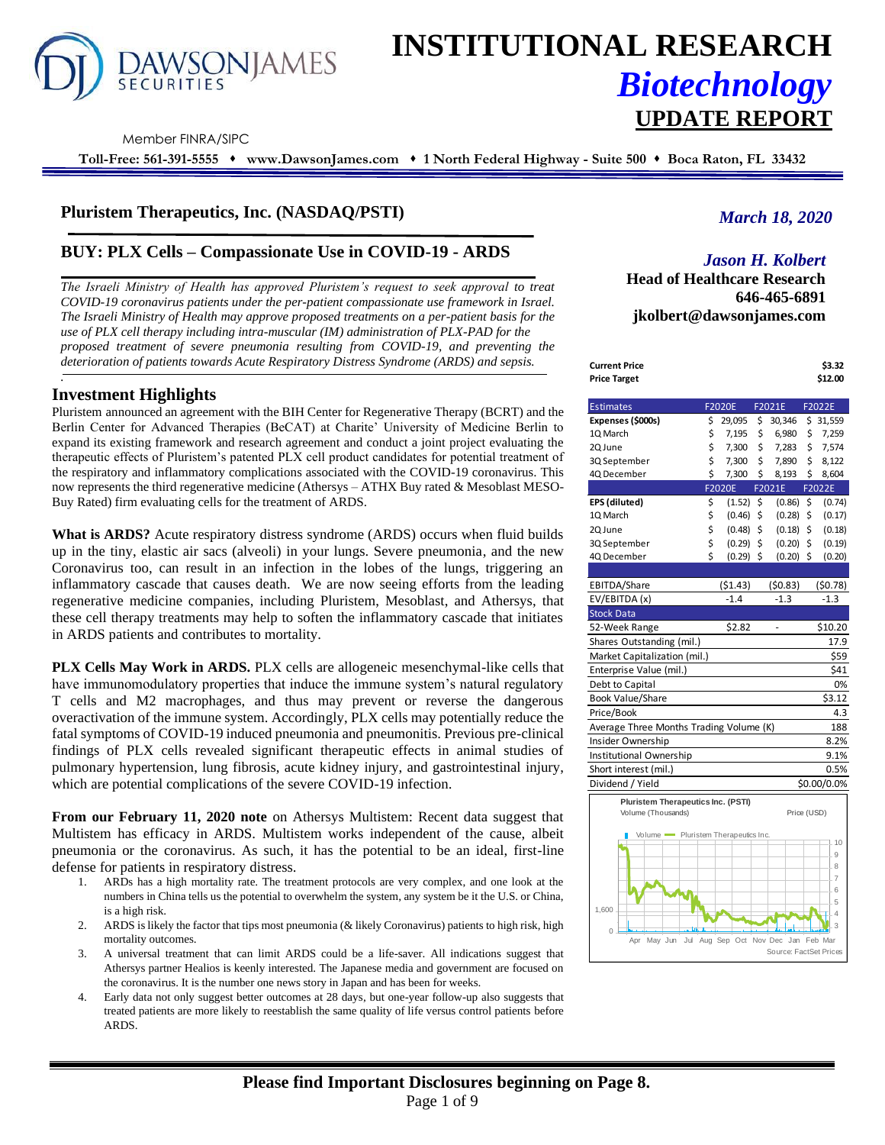

# **INSTITUTIONAL RESEARCH** *Biotechnology* **UPDATE REPORT**

Member FINRA/SIPC

**Toll-Free: 561-391-5555** ⬧ **www.DawsonJames.com** ⬧ **1 North Federal Highway - Suite 500** ⬧ **Boca Raton, FL 33432**

## **Pluristem Therapeutics, Inc. (NASDAQ/PSTI)**

# **BUY: PLX Cells – Compassionate Use in COVID-19 - ARDS**

*The Israeli Ministry of Health has approved Pluristem's request to seek approval to treat COVID-19 coronavirus patients under the per-patient compassionate use framework in Israel. The Israeli Ministry of Health may approve proposed treatments on a per-patient basis for the use of PLX cell therapy including intra-muscular (IM) administration of PLX-PAD for the proposed treatment of severe pneumonia resulting from COVID-19, and preventing the deterioration of patients towards Acute Respiratory Distress Syndrome (ARDS) and sepsis. .*

## **Investment Highlights**

Pluristem announced an agreement with the BIH Center for Regenerative Therapy (BCRT) and the Berlin Center for Advanced Therapies (BeCAT) at Charite' University of Medicine Berlin to expand its existing framework and research agreement and conduct a joint project evaluating the therapeutic effects of Pluristem's patented PLX cell product candidates for potential treatment of the respiratory and inflammatory complications associated with the COVID-19 coronavirus. This now represents the third regenerative medicine (Athersys – ATHX Buy rated & Mesoblast MESO-Buy Rated) firm evaluating cells for the treatment of ARDS.

**What is ARDS?** Acute respiratory distress syndrome (ARDS) occurs when fluid builds up in the tiny, elastic air sacs (alveoli) in your lungs. Severe pneumonia, and the new Coronavirus too, can result in an infection in the lobes of the lungs, triggering an inflammatory cascade that causes death. We are now seeing efforts from the leading regenerative medicine companies, including Pluristem, Mesoblast, and Athersys, that these cell therapy treatments may help to soften the inflammatory cascade that initiates in ARDS patients and contributes to mortality.

**PLX Cells May Work in ARDS.** PLX cells are allogeneic mesenchymal-like cells that have immunomodulatory properties that induce the immune system's natural regulatory T cells and M2 macrophages, and thus may prevent or reverse the dangerous overactivation of the immune system. Accordingly, PLX cells may potentially reduce the fatal symptoms of COVID-19 induced pneumonia and pneumonitis. Previous pre-clinical findings of PLX cells revealed significant therapeutic effects in animal studies of pulmonary hypertension, lung fibrosis, acute kidney injury, and gastrointestinal injury, which are potential complications of the severe COVID-19 infection.

**From our February 11, 2020 note** on Athersys Multistem: Recent data suggest that Multistem has efficacy in ARDS. Multistem works independent of the cause, albeit pneumonia or the coronavirus. As such, it has the potential to be an ideal, first-line defense for patients in respiratory distress.

- 1. ARDs has a high mortality rate. The treatment protocols are very complex, and one look at the numbers in China tells us the potential to overwhelm the system, any system be it the U.S. or China, is a high risk.
- 2. ARDS is likely the factor that tips most pneumonia (& likely Coronavirus) patients to high risk, high mortality outcomes.
- 3. A universal treatment that can limit ARDS could be a life-saver. All indications suggest that Athersys partner Healios is keenly interested. The Japanese media and government are focused on the coronavirus. It is the number one news story in Japan and has been for weeks.
- 4. Early data not only suggest better outcomes at 28 days, but one-year follow-up also suggests that treated patients are more likely to reestablish the same quality of life versus control patients before ARDS.

# *March 18, 2020*

## *Jason H. Kolbert*

**Head of Healthcare Research 646-465-6891 jkolbert@dawsonjames.com**

| Current Price       | \$3.32  |
|---------------------|---------|
| <b>Price Target</b> | \$12.00 |

| <b>Estimates</b>                          |    | F2020E        | F2021E       | F2022E         |
|-------------------------------------------|----|---------------|--------------|----------------|
| Expenses (\$000s)                         | \$ | 29,095        | \$<br>30,346 | \$31,559       |
| 1Q March                                  | \$ | 7,195         | \$<br>6,980  | \$<br>7,259    |
| 2Q June                                   | \$ | 7,300         | \$<br>7,283  | \$<br>7,574    |
| 3Q September                              | \$ | 7,300         | \$<br>7,890  | \$<br>8,122    |
| 4Q December                               | \$ | 7,300         | \$<br>8,193  | \$8,604        |
|                                           |    | <b>F2020E</b> | F2021E       | F2022E         |
| EPS (diluted)                             | \$ | (1.52)        | \$<br>(0.86) | \$<br>(0.74)   |
| 1Q March                                  | \$ | (0.46)        | \$<br>(0.28) | \$<br>(0.17)   |
| 2Q June                                   | \$ | (0.48)        | \$<br>(0.18) | \$<br>(0.18)   |
| 3Q September                              | \$ | (0.29)        | \$<br>(0.20) | \$<br>(0.19)   |
| 4Q December                               | Ś  | $(0.29)$ \$   | $(0.20)$ \$  | (0.20)         |
|                                           |    |               |              |                |
| EBITDA/Share                              |    | ( \$1.43)     | (50.83)      | (50.78)        |
| EV/EBITDA (x)                             |    | $-1.4$        | $-1.3$       | $-1.3$         |
| <b>Stock Data</b>                         |    |               |              |                |
| 52-Week Range                             |    | \$2.82        | ÷,           | \$10.20        |
| Shares Outstanding (mil.)                 |    |               |              | 17.9           |
| Market Capitalization (mil.)              |    |               |              | \$59           |
| Enterprise Value (mil.)                   |    |               |              | \$41           |
| Debt to Capital                           |    |               |              | 0%             |
| Book Value/Share                          |    |               |              | \$3.12         |
| Price/Book                                |    |               |              | 4.3            |
| Average Three Months Trading Volume (K)   |    |               |              | 188            |
| Insider Ownership                         |    |               |              | 8.2%           |
| Institutional Ownership                   |    |               |              | 9.1%           |
| Short interest (mil.)                     |    |               |              | 0.5%           |
| Dividend / Yield                          |    |               |              | \$0.00/0.0%    |
| <b>Pluristem Therapeutics Inc. (PSTI)</b> |    |               |              |                |
| Volume (Thousands)                        |    |               | Price (USD)  |                |
|                                           |    |               |              |                |
| Volume Pluristem Therapeutics Inc.        |    |               |              | 10             |
|                                           |    |               |              | 9              |
|                                           |    |               |              | 8              |
|                                           |    |               |              | $\overline{7}$ |
|                                           |    |               |              | 6              |
| 1,600                                     |    |               |              | 5<br>4         |
| tη.                                       |    |               |              | 3              |
| 0                                         |    |               |              |                |

Apr May Jun Jul Aug Sep Oct Nov Dec Jan Feb Mar

Source: FactSet Prices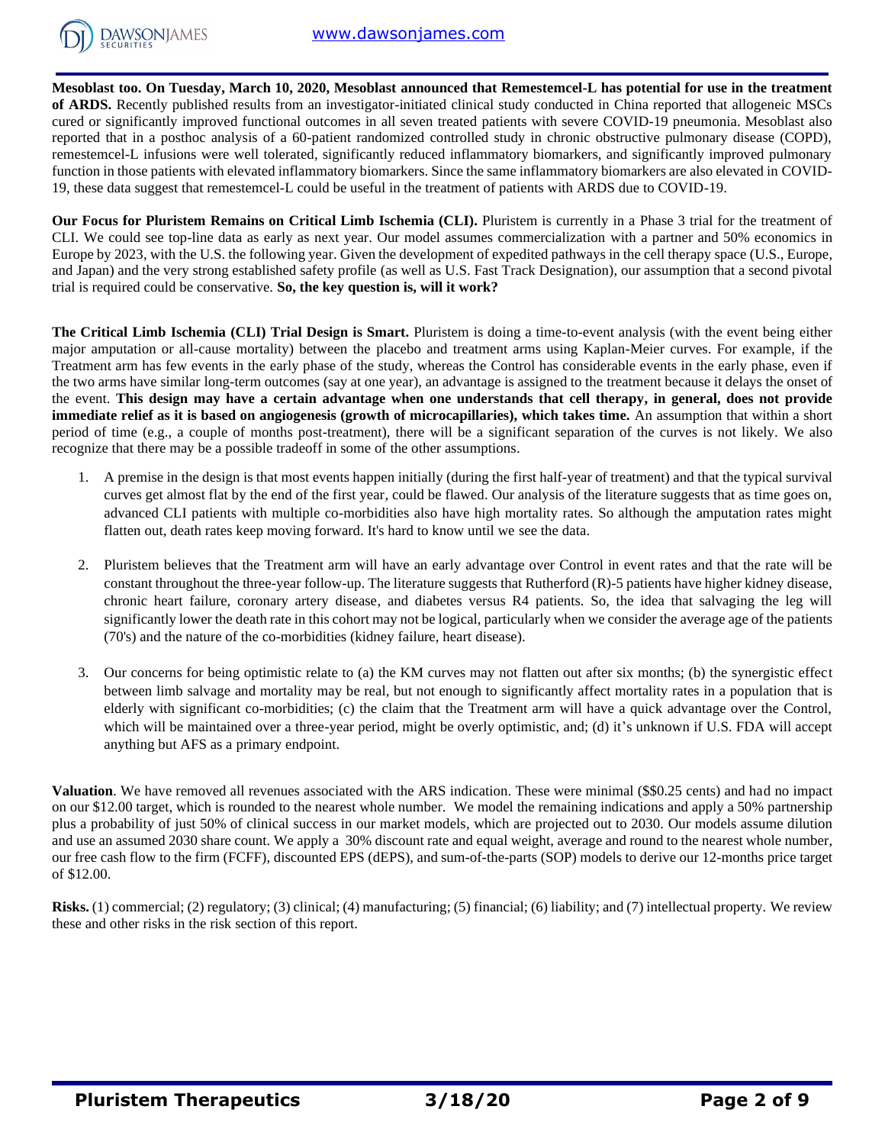

**Mesoblast too. On Tuesday, March 10, 2020, Mesoblast announced that Remestemcel-L has potential for use in the treatment of ARDS.** Recently published results from an investigator-initiated clinical study conducted in China reported that allogeneic MSCs cured or significantly improved functional outcomes in all seven treated patients with severe COVID-19 pneumonia. Mesoblast also reported that in a posthoc analysis of a 60-patient randomized controlled study in chronic obstructive pulmonary disease (COPD), remestemcel-L infusions were well tolerated, significantly reduced inflammatory biomarkers, and significantly improved pulmonary function in those patients with elevated inflammatory biomarkers. Since the same inflammatory biomarkers are also elevated in COVID-19, these data suggest that remestemcel-L could be useful in the treatment of patients with ARDS due to COVID-19.

**Our Focus for Pluristem Remains on Critical Limb Ischemia (CLI).** Pluristem is currently in a Phase 3 trial for the treatment of CLI. We could see top-line data as early as next year. Our model assumes commercialization with a partner and 50% economics in Europe by 2023, with the U.S. the following year. Given the development of expedited pathways in the cell therapy space (U.S., Europe, and Japan) and the very strong established safety profile (as well as U.S. Fast Track Designation), our assumption that a second pivotal trial is required could be conservative. **So, the key question is, will it work?** 

**The Critical Limb Ischemia (CLI) Trial Design is Smart.** Pluristem is doing a time-to-event analysis (with the event being either major amputation or all-cause mortality) between the placebo and treatment arms using Kaplan-Meier curves. For example, if the Treatment arm has few events in the early phase of the study, whereas the Control has considerable events in the early phase, even if the two arms have similar long-term outcomes (say at one year), an advantage is assigned to the treatment because it delays the onset of the event. **This design may have a certain advantage when one understands that cell therapy, in general, does not provide immediate relief as it is based on angiogenesis (growth of microcapillaries), which takes time.** An assumption that within a short period of time (e.g., a couple of months post-treatment), there will be a significant separation of the curves is not likely. We also recognize that there may be a possible tradeoff in some of the other assumptions.

- 1. A premise in the design is that most events happen initially (during the first half-year of treatment) and that the typical survival curves get almost flat by the end of the first year, could be flawed. Our analysis of the literature suggests that as time goes on, advanced CLI patients with multiple co-morbidities also have high mortality rates. So although the amputation rates might flatten out, death rates keep moving forward. It's hard to know until we see the data.
- 2. Pluristem believes that the Treatment arm will have an early advantage over Control in event rates and that the rate will be constant throughout the three-year follow-up. The literature suggests that Rutherford (R)-5 patients have higher kidney disease, chronic heart failure, coronary artery disease, and diabetes versus R4 patients. So, the idea that salvaging the leg will significantly lower the death rate in this cohort may not be logical, particularly when we consider the average age of the patients (70's) and the nature of the co-morbidities (kidney failure, heart disease).
- 3. Our concerns for being optimistic relate to (a) the KM curves may not flatten out after six months; (b) the synergistic effect between limb salvage and mortality may be real, but not enough to significantly affect mortality rates in a population that is elderly with significant co-morbidities; (c) the claim that the Treatment arm will have a quick advantage over the Control, which will be maintained over a three-year period, might be overly optimistic, and; (d) it's unknown if U.S. FDA will accept anything but AFS as a primary endpoint.

**Valuation**. We have removed all revenues associated with the ARS indication. These were minimal (\$\$0.25 cents) and had no impact on our \$12.00 target, which is rounded to the nearest whole number. We model the remaining indications and apply a 50% partnership plus a probability of just 50% of clinical success in our market models, which are projected out to 2030. Our models assume dilution and use an assumed 2030 share count. We apply a 30% discount rate and equal weight, average and round to the nearest whole number, our free cash flow to the firm (FCFF), discounted EPS (dEPS), and sum-of-the-parts (SOP) models to derive our 12-months price target of \$12.00.

**Risks.** (1) commercial; (2) regulatory; (3) clinical; (4) manufacturing; (5) financial; (6) liability; and (7) intellectual property. We review these and other risks in the risk section of this report.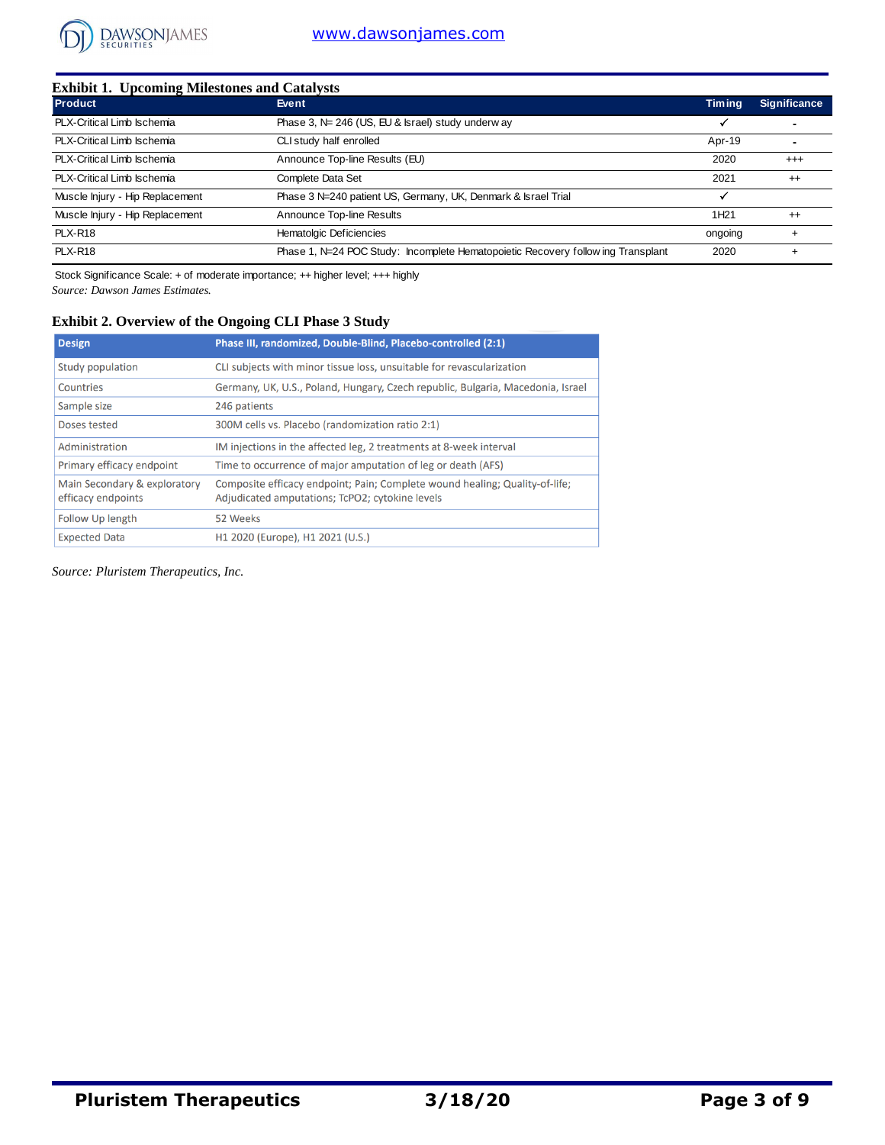

| <b>Product</b>                  | Event                                                                           | <b>Timing</b>    | <b>Significance</b> |
|---------------------------------|---------------------------------------------------------------------------------|------------------|---------------------|
| PLX-Critical Limb Ischemia      | Phase 3, N= 246 (US, EU & Israel) study underway                                | ✓                |                     |
| PLX-Critical Limb Ischemia      | CLI study half enrolled                                                         | Apr-19           |                     |
| PLX-Critical Limb Ischemia      | Announce Top-line Results (EU)                                                  | 2020             | $^{++}$             |
| PLX-Critical Limb Ischemia      | Complete Data Set                                                               | 2021             | $^{++}$             |
| Muscle Injury - Hip Replacement | Phase 3 N=240 patient US, Germany, UK, Denmark & Israel Trial                   |                  |                     |
| Muscle Injury - Hip Replacement | Announce Top-line Results                                                       | 1H <sub>21</sub> | $^{++}$             |
| <b>PLX-R18</b>                  | Hematolgic Deficiencies                                                         | ongoing          |                     |
| <b>PLX-R18</b>                  | Phase 1, N=24 POC Study: Incomplete Hematopoietic Recovery following Transplant | 2020             |                     |

*Source: Dawson James Estimates.* Stock Significance Scale: + of moderate importance; ++ higher level; +++ highly

## **Exhibit 2. Overview of the Ongoing CLI Phase 3 Study**

| <b>Design</b>                                      | Phase III, randomized, Double-Blind, Placebo-controlled (2:1)                                                                  |
|----------------------------------------------------|--------------------------------------------------------------------------------------------------------------------------------|
| Study population                                   | CLI subjects with minor tissue loss, unsuitable for revascularization                                                          |
| Countries                                          | Germany, UK, U.S., Poland, Hungary, Czech republic, Bulgaria, Macedonia, Israel                                                |
| Sample size                                        | 246 patients                                                                                                                   |
| Doses tested                                       | 300M cells vs. Placebo (randomization ratio 2:1)                                                                               |
| Administration                                     | IM injections in the affected leg, 2 treatments at 8-week interval                                                             |
| Primary efficacy endpoint                          | Time to occurrence of major amputation of leg or death (AFS)                                                                   |
| Main Secondary & exploratory<br>efficacy endpoints | Composite efficacy endpoint; Pain; Complete wound healing; Quality-of-life;<br>Adjudicated amputations; TcPO2; cytokine levels |
| Follow Up length                                   | 52 Weeks                                                                                                                       |
| <b>Expected Data</b>                               | H1 2020 (Europe), H1 2021 (U.S.)                                                                                               |

*Source: Pluristem Therapeutics, Inc.*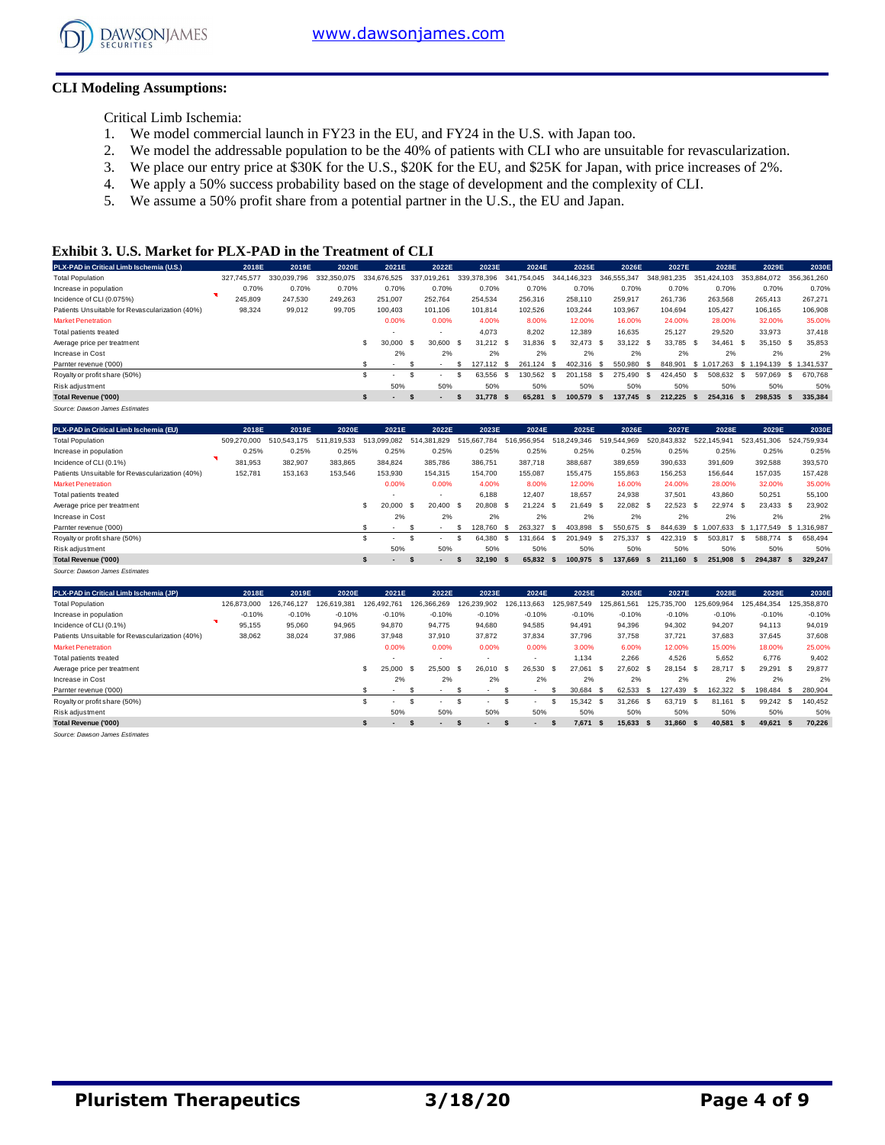

## **CLI Modeling Assumptions:**

Critical Limb Ischemia:

- 1. We model commercial launch in FY23 in the EU, and FY24 in the U.S. with Japan too.
- 2. We model the addressable population to be the 40% of patients with CLI who are unsuitable for revascularization.
- 3. We place our entry price at \$30K for the U.S., \$20K for the EU, and \$25K for Japan, with price increases of 2%.
- 4. We apply a 50% success probability based on the stage of development and the complexity of CLI.
- 5. We assume a 50% profit share from a potential partner in the U.S., the EU and Japan.

#### **Exhibit 3. U.S. Market for PLX-PAD in the Treatment of CLI**

| PLX-PAD in Critical Limb Ischemia (U.S.)        |             | 2018E<br>2019E | 2020E       | 2021E                                    | 2022E                    | 2023E         | 2024E            | 2025E       | 2026E             | 2027E           | 2028E            | 2029E            | 2030E           |
|-------------------------------------------------|-------------|----------------|-------------|------------------------------------------|--------------------------|---------------|------------------|-------------|-------------------|-----------------|------------------|------------------|-----------------|
| <b>Total Population</b>                         | 327.745.577 | 330.039.796    | 332.350.075 | 334.676.525                              | 337.019.261              | 339.378.396   | .754.045<br>341  | 344.146.323 | 346.555.347       | 348.981.235     | .424.103<br>351  | 353.884.072      | 356.361.260     |
| Increase in population                          |             | 0.70%<br>0.70% | 0.70%       | 0.70%                                    | 0.70%                    | 0.70%         | 0.70%            | 0.70%       | 0.70%             | 0.70%           | 0.70%            | 0.70%            | 0.70%           |
| Incidence of CLI (0.075%)                       | 245,809     | 247.530        | 249.263     | 251,007                                  | 252.764                  | 254.534       | 256,316          | 258,110     | 259.917           | 261.736         | 263,568          | 265.413          | 267.271         |
| Patients Unsuitable for Revascularization (40%) | 98,324      | 99,012         | 99,705      | 100,403                                  | 101.106                  | 101.814       | 102,526          | 103,244     | 103,967           | 104,694         | 105.427          | 106,165          | 106,908         |
| <b>Market Penetration</b>                       |             |                |             | 0.00%                                    | 0.00%                    | 4.00%         | 8.00%            | 12.00%      | 16.00%            | 24.00%          | 28.00%           | 32.00%           | 35.00%          |
| Total patients treated                          |             |                |             | $\overline{\phantom{a}}$                 |                          | 4.073         | 8.202            | 12.389      | 16.635            | 25.127          | 29.520           | 33.973           | 37,418          |
| Average price per treatment                     |             |                |             | 30,000                                   | 30,600<br>- \$           | 31.212<br>- S | 31.836 \$<br>- S | 32.473      | 33.122 \$<br>- \$ | 33.785          | 34.461<br>- \$   | 35.150 \$<br>- S | 35.853          |
| Increase in Cost                                |             |                |             | 2%                                       | 2%                       | 2%            | 2%               | 2%          | 2%                | 2%              | 2%               | 2%               | 2%              |
| Parnter revenue ('000)                          |             |                |             | $\overline{\phantom{a}}$                 | $\sim$                   | 127.112       | 261.124<br>- S   | 402.316     | 550,980           | 848.901         | 7.263<br>\$1.017 | \$1,<br>.194.139 | \$1,341,537     |
| Royalty or profit share (50%)                   |             |                |             |                                          | $\overline{\phantom{a}}$ | 63.556        | 130.562          | 201.158     | 275,490<br>-86    | 424.450         | 508.632<br>-86   | 597.069          | 670.768<br>-S.  |
| Risk adjustment                                 |             |                |             | 50%                                      | 50%                      | 50%           | 50%              | 50%         | 50%               | 50%             | 50%              | 50%              | 50%             |
| <b>Total Revenue ('000)</b>                     |             |                |             | $\mathbf{r}$<br>$\overline{\phantom{a}}$ | $\overline{\phantom{a}}$ | 31.778        | 65.281<br>- S    | 100.579     | 137.745<br>- S    | 212.225<br>- 55 | 254.316<br>- 53  | 298.535          | 335.384<br>- 56 |

| PLX-PAD in Critical Limb Ischemia (EU)          | 2018E       | 2019E       | 2020E          | 2021E                    | 2022E                    | 2023E       | 2024E           | 2025E            | 2026E           | 2027E              | 2028E             | 2029E                   | 2030E          |
|-------------------------------------------------|-------------|-------------|----------------|--------------------------|--------------------------|-------------|-----------------|------------------|-----------------|--------------------|-------------------|-------------------------|----------------|
| <b>Total Population</b>                         | 509.270.000 | 510.543.175 | 19.533<br>-511 | .099.082<br>513          | 514.381.829              | 515.667.784 | .956.954<br>516 | 1.249.346<br>518 | 519.544.969     | 520,843,832        | 145.941<br>522.   | .306<br>523.451         | 524.759.934    |
| Increase in population                          | 0.25%       | 0.25%       | 0.25%          | 0.25%                    | 0.25%                    | 0.25%       | 0.25%           | 0.25%            | 0.25%           | 0.25%              | 0.25%             | 0.25%                   | 0.25%          |
| Incidence of CLI (0.1%)                         | 381,953     | 382,907     | 383,865        | 384,824                  | 385,786                  | 386,751     | 387,718         | 388,687          | 389,659         | 390,633            | 391,609           | 392,588                 | 393,570        |
| Patients Unsuitable for Revascularization (40%) | 152,781     | 153,163     | 153,546        | 153,930                  | 154,315                  | 154,700     | 155,087         | 155,475          | 155,863         | 156,253            | 156,644           | 157,035                 | 157,428        |
| <b>Market Penetration</b>                       |             |             |                | 0.00%                    | 0.00%                    | 4.00%       | 8.00%           | 12.00%           | 16.00%          | 24.00%             | 28.00%            | 32.00%                  | 35.00%         |
| Total patients treated                          |             |             |                | $\overline{\phantom{a}}$ | ٠                        | 6.188       | 12,407          | 18.657           | 24.938          | 37.501             | 43.860            | 50,251                  | 55,100         |
| Average price per treatment                     |             |             |                | 20,000                   | 20.400 \$<br>- \$        | 20,808      | 21.224<br>- \$  | 21.649           | 22.082<br>- \$  | 22,523<br>- S      | 22.974 \$<br>- \$ | 23.433 \$               | 23,902         |
| Increase in Cost                                |             |             |                | 2%                       | 2%                       | 2%          | 2%              | 2%               | 2%              | 2%                 | 2%                | 2%                      | 2%             |
| Parnter revenue ('000)                          |             |             |                | $\overline{\phantom{a}}$ | $\overline{\phantom{a}}$ | 128.760     | 263.327<br>- S  | 403.898<br>- 55  | 550.675<br>-86  | 844.639<br>-S      | \$1.007.633       | \$1.177.549 \$1.316.987 |                |
| Royalty or profit share (50%)                   |             |             |                | $\sim$                   |                          | 64.380      | 131.664<br>- 55 | 201.949<br>- 55  | 275.337<br>- \$ | 422.319<br>-S      | 503.817<br>-S     | 588,774<br>-S           | 658.494<br>-S  |
| Risk adjustment                                 |             |             |                | 50%                      | 50%                      | 50%         | 50%             | 50%              | 50%             | 50%                | 50%               | 50%                     | 50%            |
| <b>Total Revenue ('000)</b>                     |             |             |                | $\blacksquare$           | $\overline{\phantom{a}}$ | 32.190 \$   | 65.832          | 100.975          | 137.669<br>- 5  | 211.160 \$<br>- 55 | 251.908           | 294.387                 | 329.247<br>- S |
| Source: Dawson James Estimates                  |             |             |                |                          |                          |             |                 |                  |                 |                    |                   |                         |                |

| PLX-PAD in Critical Limb Ischemia (JP)          | 2018E       | 2019E       | 2020E       | 2021E                    | 2022E                          | 2023E                    | 2024E                    | 2025E        | 2026E          | 2027E             | 2028E              | 2029E                   | 2030E           |
|-------------------------------------------------|-------------|-------------|-------------|--------------------------|--------------------------------|--------------------------|--------------------------|--------------|----------------|-------------------|--------------------|-------------------------|-----------------|
| <b>Total Population</b>                         | 126.873.000 | 126.746.127 | 126.619.381 | 126.492.761              | 126.366.269                    | 126.239.902              | 126,113,663              | 125.987.549  | 125,861,561    | .735.700<br>125   | 125.609.964        | 125.484.354             | 125,358,870     |
| Increase in population                          | $-0.10%$    | $-0.10%$    | $-0.10%$    | $-0.10%$                 | $-0.10%$                       | $-0.10%$                 | $-0.10%$                 | $-0.10%$     | $-0.10%$       | $-0.10%$          | $-0.10%$           | $-0.10%$                | $-0.10%$        |
| Incidence of CLI (0.1%)                         | 95,155      | 95,060      | 94.965      | 94,870                   | 94.775                         | 94.680                   | 94,585                   | 94.491       | 94.396         | 94,302            | 94,207             | 94.113                  | 94,019          |
| Patients Unsuitable for Revascularization (40%) | 38,062      | 38,024      | 37,986      | 37,948                   | 37,910                         | 37,872                   | 37,834                   | 37.796       | 37.758         | 37,721            | 37,683             | 37,645                  | 37,608          |
| <b>Market Penetration</b>                       |             |             |             | 0.00%                    | 0.00%                          | 0.00%                    | 0.00%                    | 3.00%        | 6.00%          | 12.00%            | 15.00%             | 18.00%                  | 25.00%          |
| Total patients treated                          |             |             |             | $\overline{\phantom{a}}$ | $\overline{\phantom{a}}$       | <b>.</b>                 | $\overline{\phantom{a}}$ | 1.134        | 2.266          | 4.526             | 5.652              | 6.776                   | 9,402           |
| Average price per treatment                     |             |             |             | 25.000                   | 25.500<br>- \$                 | 26.010<br>- 55           | 26.530<br>- \$           | 27.061<br>-S | 27,602<br>- \$ | 28.154<br>- 55    | 28,717 \$<br>- S   | 29.291                  | 29.877<br>- \$  |
| Increase in Cost                                |             |             |             | 2%                       | 2%                             | 2%                       | 2%                       | 2%           | 2%             | 2%                | 2%                 | 2%                      | 2%              |
| Parnter revenue ('000)                          |             |             |             | $\overline{\phantom{a}}$ | ж.<br>$\overline{\phantom{a}}$ | $\overline{\phantom{a}}$ | $\overline{\phantom{a}}$ | 30,684       | 62.533<br>- \$ | 127.439<br>- 56   | 162.322<br>- 55    | 198.484<br>- \$<br>- SS | 280,904         |
| Royalty or profit share (50%)                   |             |             |             | $\sim$                   | $\overline{\phantom{a}}$       | $\overline{\phantom{a}}$ | $\overline{\phantom{a}}$ | 15.342       | 31.266<br>- \$ | 63.719            | 81.<br>161<br>- \$ | 99.242<br>-S            | 140.452<br>- \$ |
| Risk adjustment                                 |             |             |             | 50%                      | 50%                            | 50%                      | 50%                      | 50%          | 50%            | 50%               | 50%                | 50%                     | 50%             |
| Total Revenue ('000)                            |             |             |             | $\blacksquare$           | $\overline{\phantom{a}}$       | $\overline{\phantom{a}}$ | $\overline{\phantom{a}}$ | 7.671        | 15.633<br>- 56 | 31.860 \$<br>- 55 | 40,581             | 49,621<br>- \$          | 70,226          |
| .                                               |             |             |             |                          |                                |                          |                          |              |                |                   |                    |                         |                 |

*Source: Dawson James Estimates*

Source: Dawson James Estimat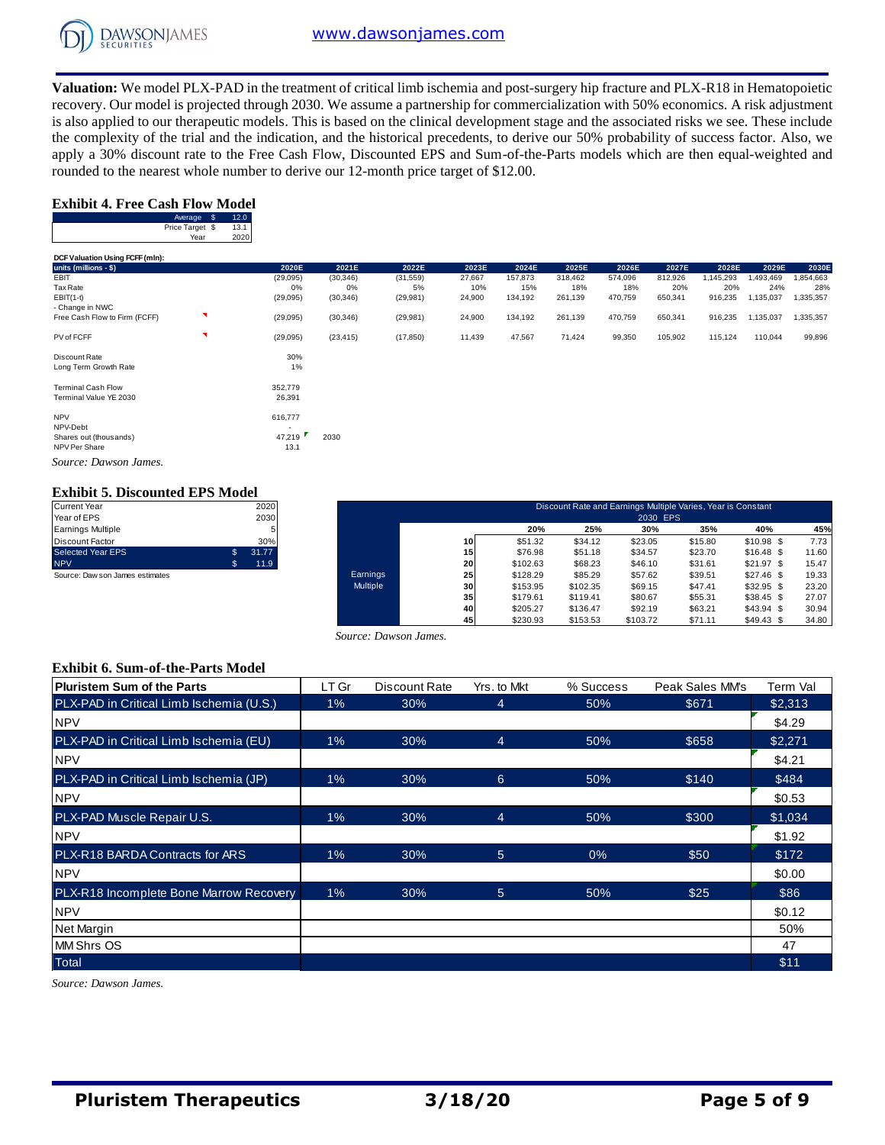

**Valuation:** We model PLX-PAD in the treatment of critical limb ischemia and post-surgery hip fracture and PLX-R18 in Hematopoietic recovery. Our model is projected through 2030. We assume a partnership for commercialization with 50% economics. A risk adjustment is also applied to our therapeutic models. This is based on the clinical development stage and the associated risks we see. These include the complexity of the trial and the indication, and the historical precedents, to derive our 50% probability of success factor. Also, we apply a 30% discount rate to the Free Cash Flow, Discounted EPS and Sum-of-the-Parts models which are then equal-weighted and rounded to the nearest whole number to derive our 12-month price target of \$12.00.

## **Exhibit 4. Free Cash Flow Model**

| Average         | 2.0  |
|-----------------|------|
| Price Target \$ | 13.1 |
| Year            | 2020 |

|                                 | Average \$              | 12.0         |           |           |           |        |         |         |         |         |         |           |           |
|---------------------------------|-------------------------|--------------|-----------|-----------|-----------|--------|---------|---------|---------|---------|---------|-----------|-----------|
|                                 | Price Target \$<br>Year | 13.1<br>2020 |           |           |           |        |         |         |         |         |         |           |           |
|                                 |                         |              |           |           |           |        |         |         |         |         |         |           |           |
| DCF Valuation Using FCFF (mln): |                         |              |           |           |           |        |         |         |         |         |         |           |           |
| units (millions - \$)           |                         |              | 2020E     | 2021E     | 2022E     | 2023E  | 2024E   | 2025E   | 2026E   | 2027E   | 2028E   | 2029E     | 2030E     |
| EBIT                            |                         |              | (29, 095) | (30, 346) | (31, 559) | 27,667 | 157,873 | 318,462 | 574,096 | 812,926 | 145,293 | 1,493,469 | 1,854,663 |
| <b>Tax Rate</b>                 |                         |              | 0%        | 0%        | 5%        | 10%    | 15%     | 18%     | 18%     | 20%     | 20%     | 24%       | 28%       |
| $EBIT(1-t)$                     |                         |              | (29,095)  | (30, 346) | (29, 981) | 24,900 | 134,192 | 261,139 | 470,759 | 650,341 | 916,235 | 1,135,037 | 1,335,357 |
| - Change in NWC                 |                         |              |           |           |           |        |         |         |         |         |         |           |           |
| Free Cash Flow to Firm (FCFF)   | N                       |              | (29,095)  | (30, 346) | (29, 981) | 24,900 | 134,192 | 261,139 | 470,759 | 650,341 | 916,235 | 1,135,037 | 1,335,357 |
| PV of FCFF                      | ×                       |              | (29, 095) | (23, 415) | (17, 850) | 11,439 | 47,567  | 71,424  | 99,350  | 105,902 | 115,124 | 110,044   | 99,896    |
| Discount Rate                   |                         |              | 30%       |           |           |        |         |         |         |         |         |           |           |
| Long Term Growth Rate           |                         |              | 1%        |           |           |        |         |         |         |         |         |           |           |
| <b>Terminal Cash Flow</b>       |                         |              | 352,779   |           |           |        |         |         |         |         |         |           |           |
| Terminal Value YE 2030          |                         |              | 26,391    |           |           |        |         |         |         |         |         |           |           |
| <b>NPV</b>                      |                         |              | 616,777   |           |           |        |         |         |         |         |         |           |           |

NPV-Debt<br>
Shares out (thousands) 47,219 Shares out (thousands) 47,219 2030 NPV Per Share 13.1

*Source: Dawson James.*

## **Exhibit 5. Discounted EPS Model**

| <b>Current Year</b>             | 2020        |
|---------------------------------|-------------|
| Year of EPS                     | 2030        |
| <b>Earnings Multiple</b>        | 5           |
| Discount Factor                 | 30%         |
| <b>Selected Year EPS</b>        | \$<br>31.77 |
| <b>NPV</b>                      | \$<br>11.9  |
| Source: Daw son James estimates |             |

| Current Year                     |              | 2020  |          |                 |          |          | Discount Rate and Earnings Multiple Varies, Year is Constant |         |             |       |
|----------------------------------|--------------|-------|----------|-----------------|----------|----------|--------------------------------------------------------------|---------|-------------|-------|
| Year of EPS<br>Earnings Multiple |              | 2030  |          |                 | 20%      | 25%      | 2030 EPS<br>30%                                              | 35%     | 40%         | 45%   |
| Discount Factor                  |              | 30%   |          | 10 <sup>1</sup> | \$51.32  | \$34.12  | \$23.05                                                      | \$15.80 | $$10.98$ \$ | 7.73  |
| Selected Year EPS                | $\mathbf{s}$ | 31.77 |          | 15              | \$76.98  | \$51.18  | \$34.57                                                      | \$23.70 | $$16.48$ \$ | 11.60 |
| <b>NPV</b>                       | 55           | 11.9  |          | 20              | \$102.63 | \$68.23  | \$46.10                                                      | \$31.61 | \$21.97S    | 15.47 |
| Source: Daw son James estimates  |              |       | Earnings | 25              | \$128.29 | \$85.29  | \$57.62                                                      | \$39.51 | $$27.46$ \$ | 19.33 |
|                                  |              |       | Multiple | 30 <sup>1</sup> | \$153.95 | \$102.35 | \$69.15                                                      | \$47.41 | $$32.95$ \$ | 23.20 |
|                                  |              |       |          | 35 <sub>1</sub> | \$179.61 | \$119.41 | \$80.67                                                      | \$55.31 | $$38.45$ \$ | 27.07 |
|                                  |              |       |          | 40              | \$205.27 | \$136.47 | \$92.19                                                      | \$63.21 | $$43.94$ \$ | 30.94 |
|                                  |              |       |          | 45              | \$230.93 | \$153.53 | \$103.72                                                     | \$71.11 | $$49.43$ \$ | 34.80 |

#### **Exhibit 6. Sum-of-the-Parts Model**

|                                          |       | Source: Dawson James. |                 |           |                 |          |
|------------------------------------------|-------|-----------------------|-----------------|-----------|-----------------|----------|
| <b>Exhibit 6. Sum-of-the-Parts Model</b> |       |                       |                 |           |                 |          |
| <b>Pluristem Sum of the Parts</b>        | LT Gr | Discount Rate         | Yrs. to Mkt     | % Success | Peak Sales MM's | Term Val |
| PLX-PAD in Critical Limb Ischemia (U.S.) | 1%    | 30%                   | $\overline{4}$  | 50%       | \$671           | \$2,313  |
| <b>NPV</b>                               |       |                       |                 |           |                 | \$4.29   |
| PLX-PAD in Critical Limb Ischemia (EU)   | $1\%$ | 30%                   | $\overline{4}$  | 50%       | \$658           | \$2,271  |
| <b>NPV</b>                               |       |                       |                 |           |                 | \$4.21   |
| PLX-PAD in Critical Limb Ischemia (JP)   | $1\%$ | 30%                   | 6               | 50%       | \$140           | \$484    |
| <b>NPV</b>                               |       |                       |                 |           |                 | \$0.53   |
| PLX-PAD Muscle Repair U.S.               | $1\%$ | 30%                   | $\overline{4}$  | 50%       | \$300           | \$1,034  |
| <b>NPV</b>                               |       |                       |                 |           |                 | \$1.92   |
| PLX-R18 BARDA Contracts for ARS          | $1\%$ | 30%                   | $5\overline{)}$ | 0%        | \$50            | \$172    |
| <b>NPV</b>                               |       |                       |                 |           |                 | \$0.00   |
| PLX-R18 Incomplete Bone Marrow Recovery  | $1\%$ | 30%                   | $5\overline{)}$ | 50%       | \$25            | \$86     |
| <b>NPV</b>                               |       |                       |                 |           |                 | \$0.12   |
| Net Margin                               |       |                       |                 |           |                 | 50%      |
| <b>MM Shrs OS</b>                        |       |                       |                 |           |                 | 47       |
| <b>Total</b>                             |       |                       |                 |           |                 | \$11     |

*Source: Dawson James.*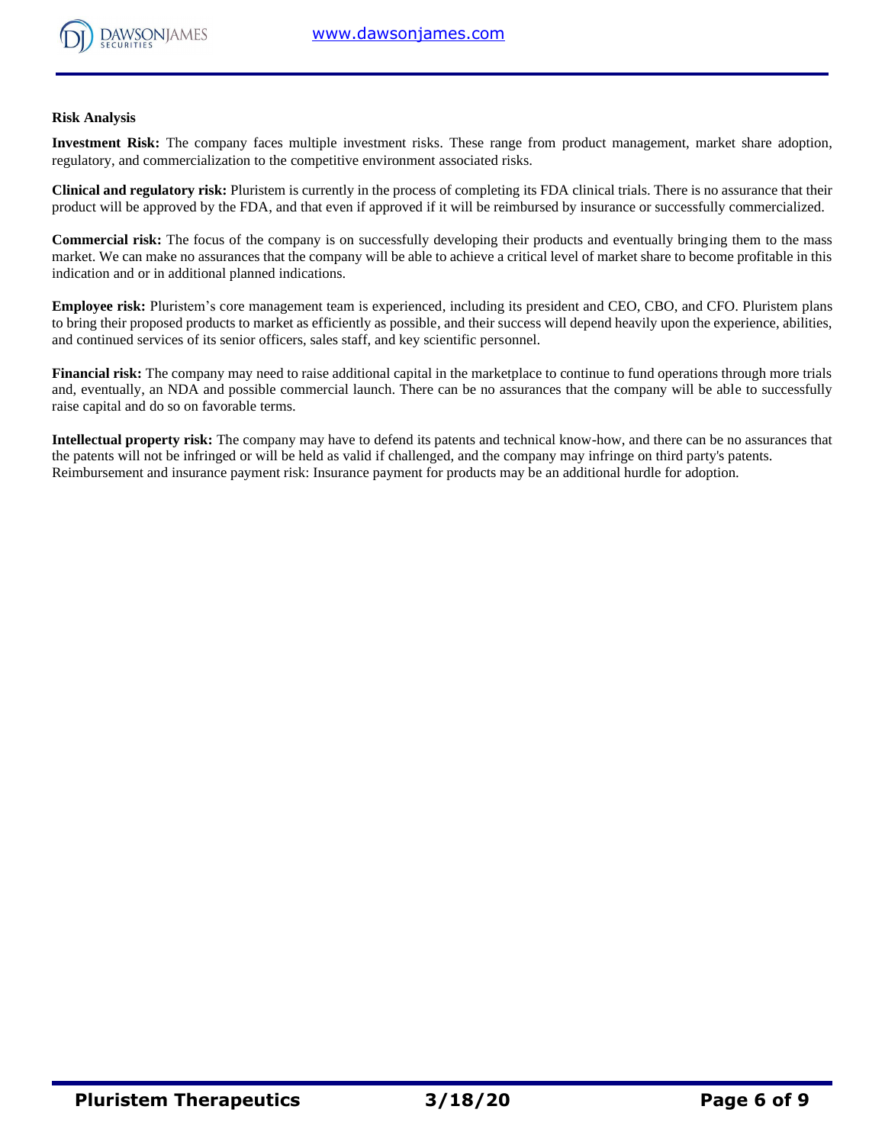

#### **Risk Analysis**

**Investment Risk:** The company faces multiple investment risks. These range from product management, market share adoption, regulatory, and commercialization to the competitive environment associated risks.

**Clinical and regulatory risk:** Pluristem is currently in the process of completing its FDA clinical trials. There is no assurance that their product will be approved by the FDA, and that even if approved if it will be reimbursed by insurance or successfully commercialized.

**Commercial risk:** The focus of the company is on successfully developing their products and eventually bringing them to the mass market. We can make no assurances that the company will be able to achieve a critical level of market share to become profitable in this indication and or in additional planned indications.

**Employee risk:** Pluristem's core management team is experienced, including its president and CEO, CBO, and CFO. Pluristem plans to bring their proposed products to market as efficiently as possible, and their success will depend heavily upon the experience, abilities, and continued services of its senior officers, sales staff, and key scientific personnel.

**Financial risk:** The company may need to raise additional capital in the marketplace to continue to fund operations through more trials and, eventually, an NDA and possible commercial launch. There can be no assurances that the company will be able to successfully raise capital and do so on favorable terms.

**Intellectual property risk:** The company may have to defend its patents and technical know-how, and there can be no assurances that the patents will not be infringed or will be held as valid if challenged, and the company may infringe on third party's patents. Reimbursement and insurance payment risk: Insurance payment for products may be an additional hurdle for adoption.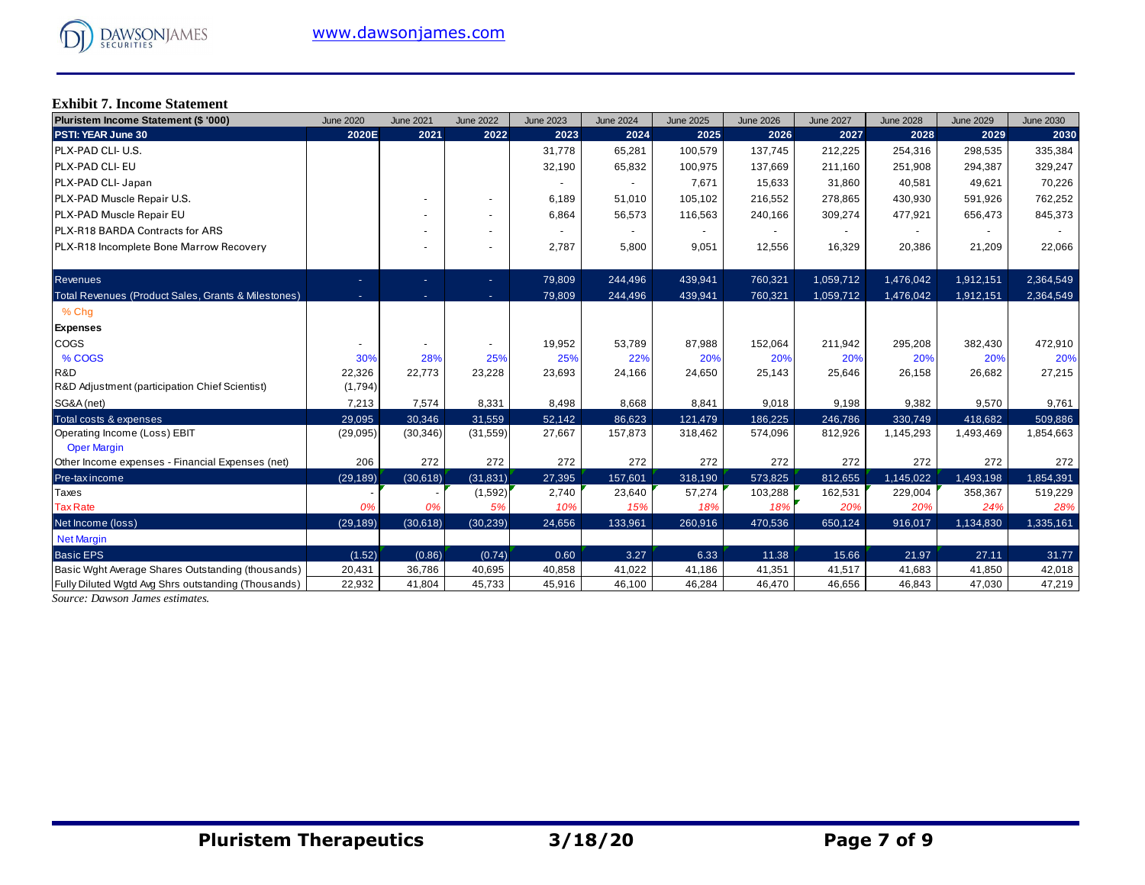# **Exhibit 7. Income Statement**

| Pluristem Income Statement (\$ '000)                | <b>June 2020</b> | <b>June 2021</b> | <b>June 2022</b>         | <b>June 2023</b> | <b>June 2024</b> | <b>June 2025</b> | <b>June 2026</b> | <b>June 2027</b> | <b>June 2028</b> | <b>June 2029</b> | <b>June 2030</b> |
|-----------------------------------------------------|------------------|------------------|--------------------------|------------------|------------------|------------------|------------------|------------------|------------------|------------------|------------------|
| PSTI: YEAR June 30                                  | 2020E            | 2021             | 2022                     | 2023             | 2024             | 2025             | 2026             | 2027             | 2028             | 2029             | 2030             |
| PLX-PAD CLI- U.S.                                   |                  |                  |                          | 31,778           | 65,281           | 100,579          | 137,745          | 212.225          | 254,316          | 298,535          | 335,384          |
| PLX-PAD CLI- EU                                     |                  |                  |                          | 32,190           | 65,832           | 100,975          | 137,669          | 211,160          | 251,908          | 294,387          | 329,247          |
| PLX-PAD CLI- Japan                                  |                  |                  |                          | $\sim$           |                  | 7,671            | 15,633           | 31,860           | 40,581           | 49,621           | 70,226           |
| PLX-PAD Muscle Repair U.S.                          |                  |                  |                          | 6,189            | 51,010           | 105,102          | 216,552          | 278,865          | 430,930          | 591,926          | 762,252          |
| PLX-PAD Muscle Repair EU                            |                  |                  | ۰                        | 6,864            | 56,573           | 116,563          | 240,166          | 309,274          | 477,921          | 656,473          | 845,373          |
| <b>PLX-R18 BARDA Contracts for ARS</b>              |                  |                  | ٠                        |                  |                  |                  |                  |                  |                  |                  |                  |
| PLX-R18 Incomplete Bone Marrow Recovery             |                  |                  | $\overline{\phantom{0}}$ | 2,787            | 5,800            | 9,051            | 12,556           | 16,329           | 20,386           | 21,209           | 22,066           |
| <b>Revenues</b>                                     | ٠                | ٠                | ÷.                       | 79,809           | 244,496          | 439,941          | 760,321          | 1,059,712        | 1,476,042        | 1,912,151        | 2,364,549        |
| Total Revenues (Product Sales, Grants & Milestones) | ×,               | ٠                | $\sim$                   | 79,809           | 244,496          | 439,941          | 760,321          | 1,059,712        | 1,476,042        | 1,912,151        | 2,364,549        |
| % Chq                                               |                  |                  |                          |                  |                  |                  |                  |                  |                  |                  |                  |
| <b>Expenses</b>                                     |                  |                  |                          |                  |                  |                  |                  |                  |                  |                  |                  |
| COGS                                                |                  |                  |                          | 19,952           | 53,789           | 87,988           | 152,064          | 211,942          | 295,208          | 382,430          | 472,910          |
| % COGS                                              | 30%              | 28%              | 25%                      | 25%              | 22%              | 20%              | 20%              | 20%              | 20%              | 20%              | 20%              |
| R&D                                                 | 22,326           | 22,773           | 23,228                   | 23,693           | 24,166           | 24,650           | 25,143           | 25,646           | 26,158           | 26,682           | 27,215           |
| R&D Adjustment (participation Chief Scientist)      | (1,794)          |                  |                          |                  |                  |                  |                  |                  |                  |                  |                  |
| SG&A (net)                                          | 7,213            | 7,574            | 8,331                    | 8,498            | 8,668            | 8,841            | 9,018            | 9,198            | 9,382            | 9,570            | 9,761            |
| Total costs & expenses                              | 29,095           | 30,346           | 31,559                   | 52,142           | 86,623           | 121,479          | 186,225          | 246,786          | 330,749          | 418,682          | 509,886          |
| Operating Income (Loss) EBIT<br><b>Oper Margin</b>  | (29,095)         | (30, 346)        | (31, 559)                | 27,667           | 157,873          | 318,462          | 574,096          | 812,926          | 1,145,293        | 1,493,469        | 1,854,663        |
| Other Income expenses - Financial Expenses (net)    | 206              | 272              | 272                      | 272              | 272              | 272              | 272              | 272              | 272              | 272              | 272              |
| Pre-tax income                                      | (29, 189)        | (30,618)         | (31, 831)                | 27,395           | 157,601          | 318,190          | 573,825          | 812,655          | 1,145,022        | 1,493,198        | 1,854,391        |
| Taxes                                               |                  |                  | (1,592)                  | 2,740            | 23,640           | 57,274           | 103,288          | 162,531          | 229,004          | 358,367          | 519,229          |
| <b>Tax Rate</b>                                     | 0%               | 0%               | 5%                       | 10%              | 15%              | 18%              | 18%              | 20%              | 20%              | 24%              | 28%              |
| Net Income (loss)                                   | (29, 189)        | (30,618)         | (30, 239)                | 24,656           | 133,961          | 260,916          | 470,536          | 650,124          | 916,017          | 1,134,830        | 1,335,161        |
| <b>Net Margin</b>                                   |                  |                  |                          |                  |                  |                  |                  |                  |                  |                  |                  |
| <b>Basic EPS</b>                                    | (1.52)           | (0.86)           | (0.74)                   | 0.60             | 3.27             | 6.33             | 11.38            | 15.66            | 21.97            | 27.11            | 31.77            |
| Basic Wght Average Shares Outstanding (thousands)   | 20,431           | 36,786           | 40,695                   | 40,858           | 41,022           | 41,186           | 41,351           | 41,517           | 41,683           | 41,850           | 42,018           |
| Fully Diluted Wgtd Avg Shrs outstanding (Thousands) | 22,932           | 41,804           | 45,733                   | 45,916           | 46,100           | 46,284           | 46,470           | 46.656           | 46,843           | 47,030           | 47,219           |

*Source: Dawson James estimates.*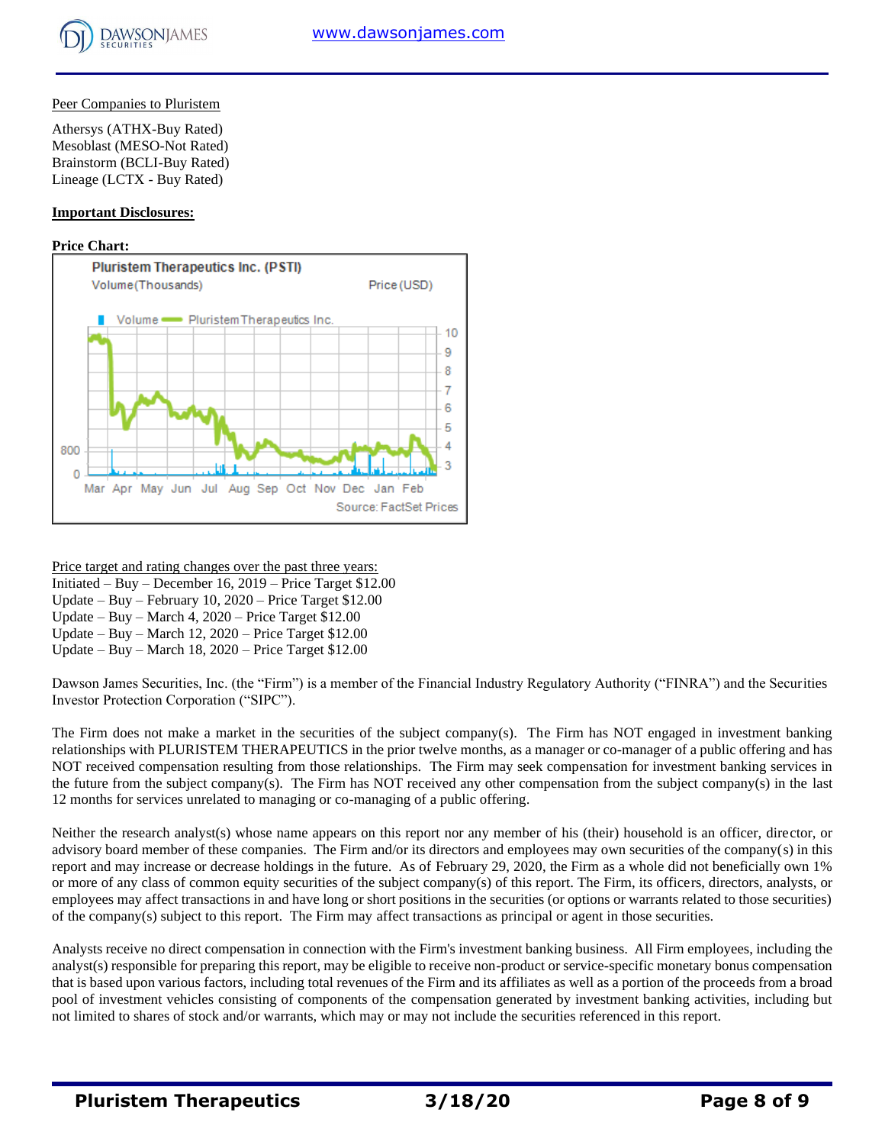

## Peer Companies to Pluristem

Athersys (ATHX-Buy Rated) Mesoblast (MESO-Not Rated) Brainstorm (BCLI-Buy Rated) Lineage (LCTX - Buy Rated)

## **Important Disclosures:**

## **Price Chart:**



Price target and rating changes over the past three years:

Initiated – Buy – December 16, 2019 – Price Target \$12.00

Update – Buy – February 10, 2020 – Price Target \$12.00

Update – Buy – March 4, 2020 – Price Target \$12.00

Update – Buy – March 12, 2020 – Price Target \$12.00

Update – Buy – March 18, 2020 – Price Target \$12.00

Dawson James Securities, Inc. (the "Firm") is a member of the Financial Industry Regulatory Authority ("FINRA") and the Securities Investor Protection Corporation ("SIPC").

The Firm does not make a market in the securities of the subject company(s). The Firm has NOT engaged in investment banking relationships with PLURISTEM THERAPEUTICS in the prior twelve months, as a manager or co-manager of a public offering and has NOT received compensation resulting from those relationships. The Firm may seek compensation for investment banking services in the future from the subject company(s). The Firm has NOT received any other compensation from the subject company(s) in the last 12 months for services unrelated to managing or co-managing of a public offering.

Neither the research analyst(s) whose name appears on this report nor any member of his (their) household is an officer, director, or advisory board member of these companies. The Firm and/or its directors and employees may own securities of the company(s) in this report and may increase or decrease holdings in the future. As of February 29, 2020, the Firm as a whole did not beneficially own 1% or more of any class of common equity securities of the subject company(s) of this report. The Firm, its officers, directors, analysts, or employees may affect transactions in and have long or short positions in the securities (or options or warrants related to those securities) of the company(s) subject to this report. The Firm may affect transactions as principal or agent in those securities.

Analysts receive no direct compensation in connection with the Firm's investment banking business. All Firm employees, including the analyst(s) responsible for preparing this report, may be eligible to receive non-product or service-specific monetary bonus compensation that is based upon various factors, including total revenues of the Firm and its affiliates as well as a portion of the proceeds from a broad pool of investment vehicles consisting of components of the compensation generated by investment banking activities, including but not limited to shares of stock and/or warrants, which may or may not include the securities referenced in this report.